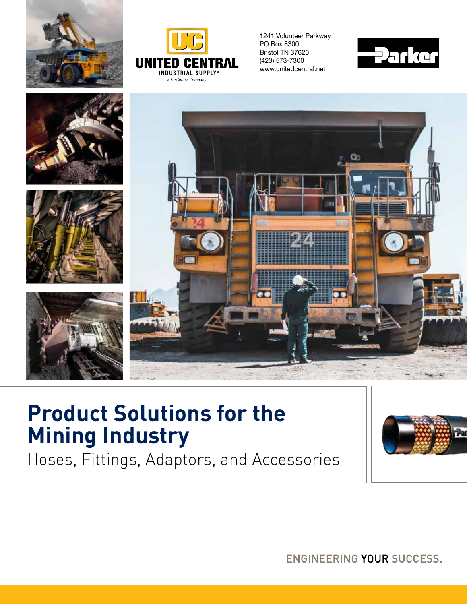



1241 Volunteer Parkway PO Box 8300 Bristol TN 37620 (423) 573-7300 www.unitedcentral.net





### **Product Solutions for the Mining Industry**

Hoses, Fittings, Adaptors, and Accessories



**ENGINEERING YOUR SUCCESS.**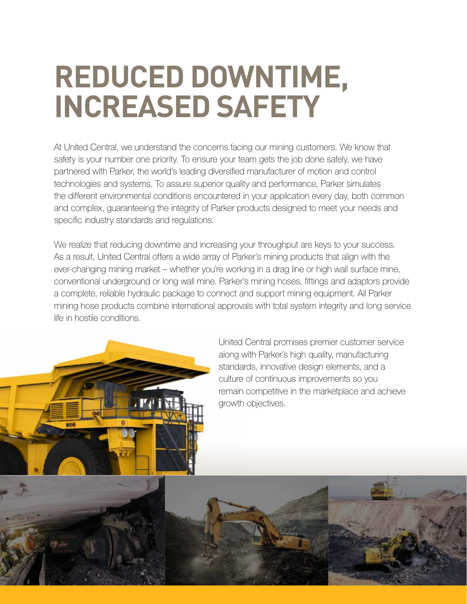## **REDUCED DOWNTIME, INCREASED SAFETY**

At United Central, we understand the concerns facing our mining customers. We know that safety is your number one priority. To ensure your team gets the job done safely, we have partnered with Parker, the world's leading diversified manufacturer of motion and control technologies and systems. To assure superior quality and performance, Parker simulates the different environmental conditions encountered in your application every day, both common and complex, guaranteeing the integrity of Parker products designed to meet your needs and specific industry standards and regulations.

We realize that reducing downtime and increasing your throughput are keys to your success. As a result, United Central offers a wide array of Parker's mining products that align with the ever-changing mining market – whether you're working in a drag line or high wall surface mine, conventional underground or long wall mine. Parker's mining hoses, fittings and adaptors provide a complete, reliable hydraulic package to connect and support mining equipment. All Parker mining hose products combine international approvals with total system integrity and long service life in hostile conditions.

> United Central promises premier customer service along with Parker's high quality, manufacturing standards, innovative design elements, and a culture of continuous improvements so you remain competitive in the marketplace and achieve growth objectives.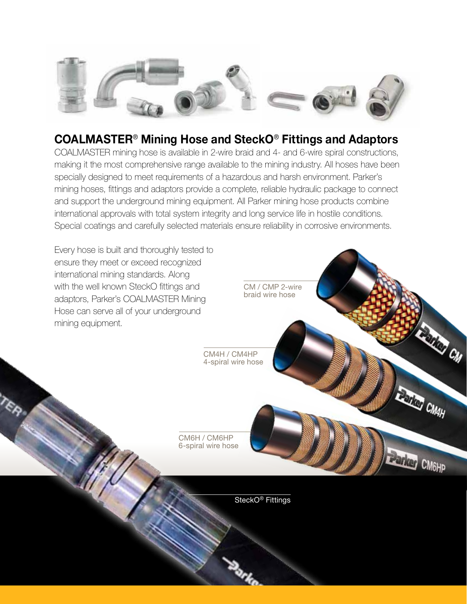

#### **COALMASTER**® **Mining Hose and SteckO**® **Fittings and Adaptors**

COALMASTER mining hose is available in 2-wire braid and 4- and 6-wire spiral constructions, making it the most comprehensive range available to the mining industry. All hoses have been specially designed to meet requirements of a hazardous and harsh environment. Parker's mining hoses, fittings and adaptors provide a complete, reliable hydraulic package to connect and support the underground mining equipment. All Parker mining hose products combine international approvals with total system integrity and long service life in hostile conditions. Special coatings and carefully selected materials ensure reliability in corrosive environments.